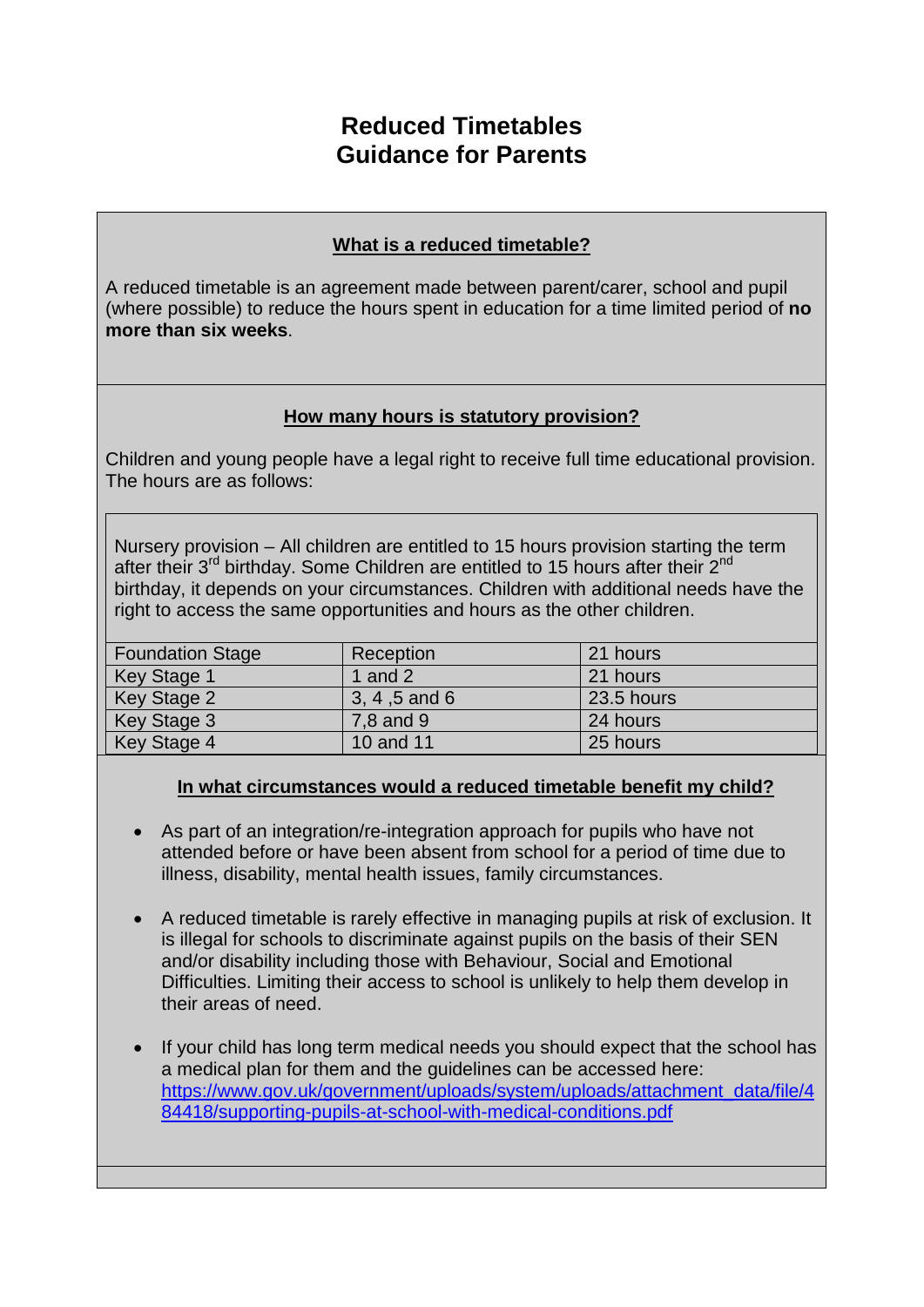# **Reduced Timetables Guidance for Parents**

## **What is a reduced timetable?**

A reduced timetable is an agreement made between parent/carer, school and pupil (where possible) to reduce the hours spent in education for a time limited period of **no more than six weeks**.

# **How many hours is statutory provision?**

Children and young people have a legal right to receive full time educational provision. The hours are as follows:

Nursery provision – All children are entitled to 15 hours provision starting the term after their  $3<sup>rd</sup>$  birthday. Some Children are entitled to 15 hours after their  $2<sup>nd</sup>$ birthday, it depends on your circumstances. Children with additional needs have the right to access the same opportunities and hours as the other children.

| <b>Foundation Stage</b> | Reception       | 21 hours   |
|-------------------------|-----------------|------------|
| <b>Key Stage 1</b>      | 1 and $21$      | 21 hours   |
| Key Stage 2             | $3, 4, 5$ and 6 | 23.5 hours |
| Key Stage 3             | 7,8 and 9       | 24 hours   |
| Key Stage 4             | 10 and 11       | 25 hours   |

## **In what circumstances would a reduced timetable benefit my child?**

- As part of an integration/re-integration approach for pupils who have not attended before or have been absent from school for a period of time due to illness, disability, mental health issues, family circumstances.
- A reduced timetable is rarely effective in managing pupils at risk of exclusion. It is illegal for schools to discriminate against pupils on the basis of their SEN and/or disability including those with Behaviour, Social and Emotional Difficulties. Limiting their access to school is unlikely to help them develop in their areas of need.
- If your child has long term medical needs you should expect that the school has a medical plan for them and the guidelines can be accessed here: [https://www.gov.uk/government/uploads/system/uploads/attachment\\_data/file/4](https://www.gov.uk/government/uploads/system/uploads/attachment_data/file/484418/supporting-pupils-at-school-with-medical-conditions.pdf) [84418/supporting-pupils-at-school-with-medical-conditions.pdf](https://www.gov.uk/government/uploads/system/uploads/attachment_data/file/484418/supporting-pupils-at-school-with-medical-conditions.pdf)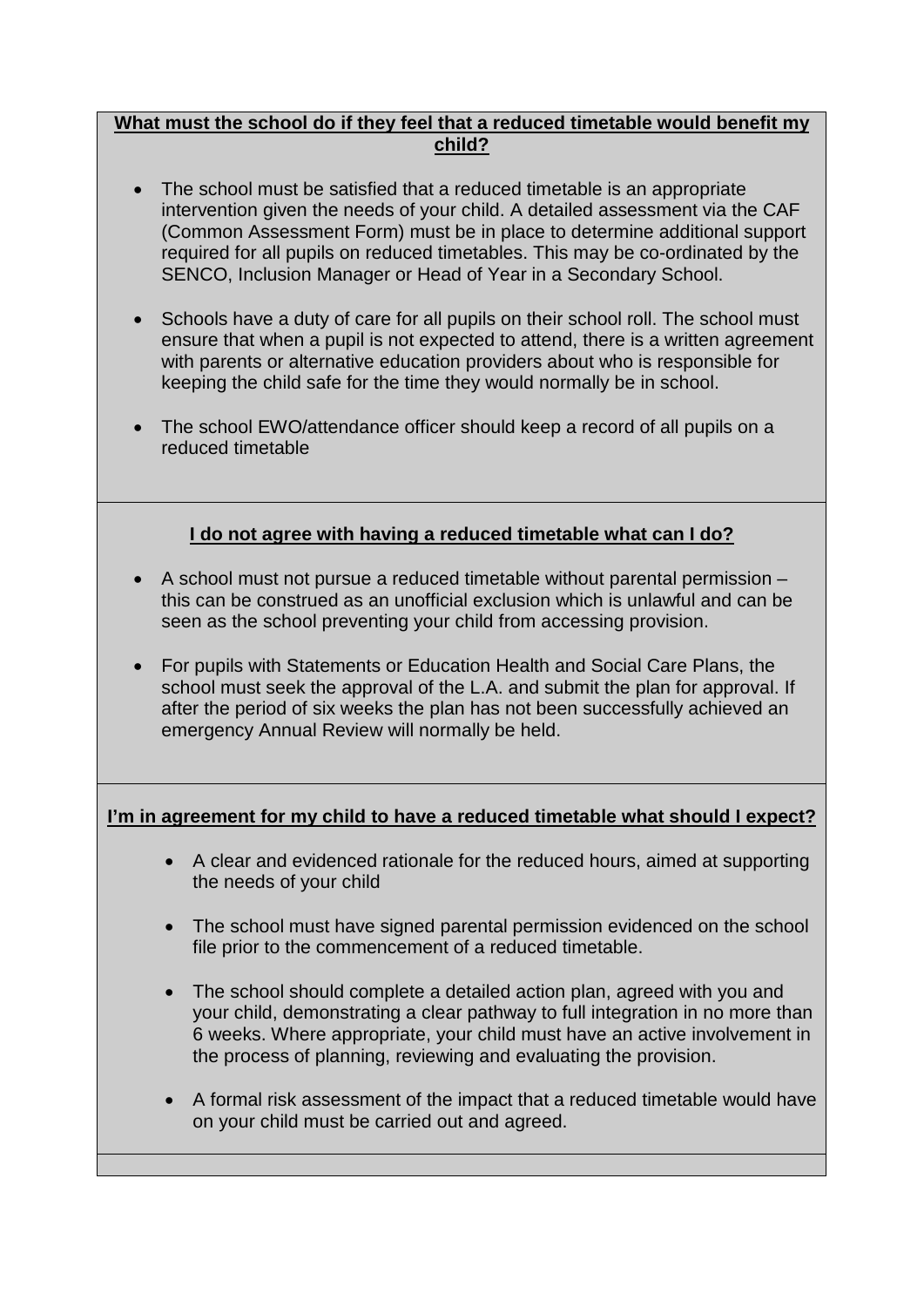#### **What must the school do if they feel that a reduced timetable would benefit my child?**

- The school must be satisfied that a reduced timetable is an appropriate intervention given the needs of your child. A detailed assessment via the CAF (Common Assessment Form) must be in place to determine additional support required for all pupils on reduced timetables. This may be co-ordinated by the SENCO, Inclusion Manager or Head of Year in a Secondary School.
- Schools have a duty of care for all pupils on their school roll. The school must ensure that when a pupil is not expected to attend, there is a written agreement with parents or alternative education providers about who is responsible for keeping the child safe for the time they would normally be in school.
- The school EWO/attendance officer should keep a record of all pupils on a reduced timetable

# **I do not agree with having a reduced timetable what can I do?**

- A school must not pursue a reduced timetable without parental permission this can be construed as an unofficial exclusion which is unlawful and can be seen as the school preventing your child from accessing provision.
- For pupils with Statements or Education Health and Social Care Plans, the school must seek the approval of the L.A. and submit the plan for approval. If after the period of six weeks the plan has not been successfully achieved an emergency Annual Review will normally be held.

## **I'm in agreement for my child to have a reduced timetable what should I expect?**

- A clear and evidenced rationale for the reduced hours, aimed at supporting the needs of your child
- The school must have signed parental permission evidenced on the school file prior to the commencement of a reduced timetable.
- The school should complete a detailed action plan, agreed with you and your child, demonstrating a clear pathway to full integration in no more than 6 weeks. Where appropriate, your child must have an active involvement in the process of planning, reviewing and evaluating the provision.
- A formal risk assessment of the impact that a reduced timetable would have on your child must be carried out and agreed.